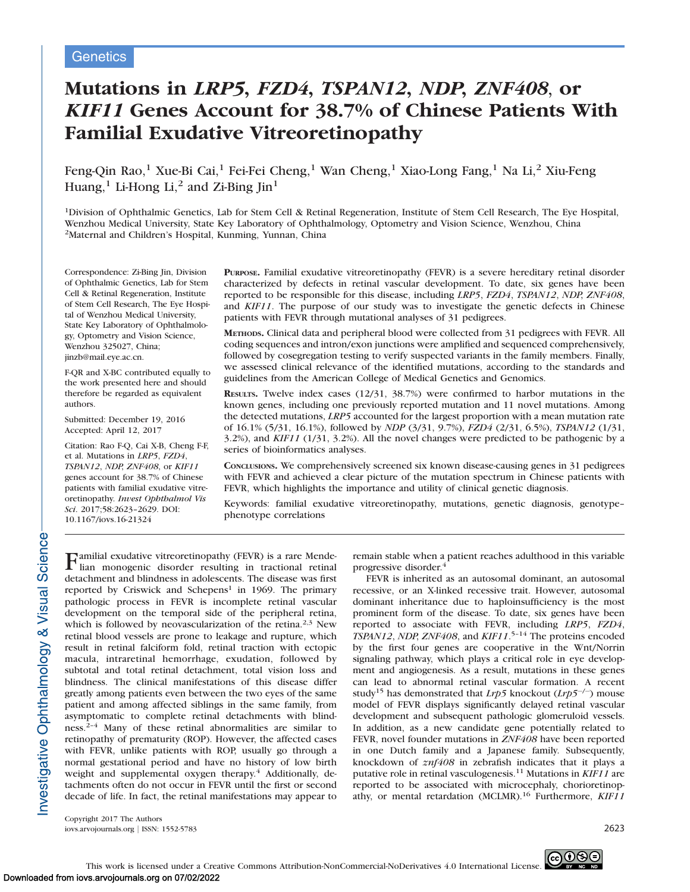# Mutations in LRP5, FZD4, TSPAN12, NDP, ZNF408, or KIF11 Genes Account for 38.7% of Chinese Patients With Familial Exudative Vitreoretinopathy

Feng-Qin Rao,<sup>1</sup> Xue-Bi Cai,<sup>1</sup> Fei-Fei Cheng,<sup>1</sup> Wan Cheng,<sup>1</sup> Xiao-Long Fang,<sup>1</sup> Na Li,<sup>2</sup> Xiu-Feng Huang, $<sup>1</sup>$  Li-Hong Li, $<sup>2</sup>$  and Zi-Bing Jin<sup>1</sup></sup></sup>

<sup>1</sup>Division of Ophthalmic Genetics, Lab for Stem Cell & Retinal Regeneration, Institute of Stem Cell Research, The Eye Hospital, Wenzhou Medical University, State Key Laboratory of Ophthalmology, Optometry and Vision Science, Wenzhou, China 2Maternal and Children's Hospital, Kunming, Yunnan, China

Correspondence: Zi-Bing Jin, Division of Ophthalmic Genetics, Lab for Stem Cell & Retinal Regeneration, Institute of Stem Cell Research, The Eye Hospital of Wenzhou Medical University, State Key Laboratory of Ophthalmology, Optometry and Vision Science, Wenzhou 325027, China; jinzb@mail.eye.ac.cn.

F-QR and X-BC contributed equally to the work presented here and should therefore be regarded as equivalent authors.

Submitted: December 19, 2016 Accepted: April 12, 2017

Citation: Rao F-Q, Cai X-B, Cheng F-F, et al. Mutations in LRP5, FZD4, TSPAN12, NDP, ZNF408, or KIF11 genes account for 38.7% of Chinese patients with familial exudative vitreoretinopathy. Invest Ophthalmol Vis Sci. 2017;58:2623–2629. DOI: 10.1167/iovs.16-21324

PURPOSE. Familial exudative vitreoretinopathy (FEVR) is a severe hereditary retinal disorder characterized by defects in retinal vascular development. To date, six genes have been reported to be responsible for this disease, including LRP5, FZD4, TSPAN12, NDP, ZNF408, and KIF11. The purpose of our study was to investigate the genetic defects in Chinese patients with FEVR through mutational analyses of 31 pedigrees.

METHODS. Clinical data and peripheral blood were collected from 31 pedigrees with FEVR. All coding sequences and intron/exon junctions were amplified and sequenced comprehensively, followed by cosegregation testing to verify suspected variants in the family members. Finally, we assessed clinical relevance of the identified mutations, according to the standards and guidelines from the American College of Medical Genetics and Genomics.

RESULTS. Twelve index cases (12/31, 38.7%) were confirmed to harbor mutations in the known genes, including one previously reported mutation and 11 novel mutations. Among the detected mutations, LRP5 accounted for the largest proportion with a mean mutation rate of 16.1% (5/31, 16.1%), followed by NDP (3/31, 9.7%), FZD4 (2/31, 6.5%), TSPAN12 (1/31,  $3.2\%$ ), and KIF11 (1/31, 3.2%). All the novel changes were predicted to be pathogenic by a series of bioinformatics analyses.

CONCLUSIONS. We comprehensively screened six known disease-causing genes in 31 pedigrees with FEVR and achieved a clear picture of the mutation spectrum in Chinese patients with FEVR, which highlights the importance and utility of clinical genetic diagnosis.

Keywords: familial exudative vitreoretinopathy, mutations, genetic diagnosis, genotype– phenotype correlations

Familial exudative vitreoretinopathy (FEVR) is a rare Mende-lian monogenic disorder resulting in tractional retinal detachment and blindness in adolescents. The disease was first reported by Criswick and Schepens<sup>1</sup> in 1969. The primary pathologic process in FEVR is incomplete retinal vascular development on the temporal side of the peripheral retina, which is followed by neovascularization of the retina.<sup>2,3</sup> New retinal blood vessels are prone to leakage and rupture, which result in retinal falciform fold, retinal traction with ectopic macula, intraretinal hemorrhage, exudation, followed by subtotal and total retinal detachment, total vision loss and blindness. The clinical manifestations of this disease differ greatly among patients even between the two eyes of the same patient and among affected siblings in the same family, from asymptomatic to complete retinal detachments with blindness.2–4 Many of these retinal abnormalities are similar to retinopathy of prematurity (ROP). However, the affected cases with FEVR, unlike patients with ROP, usually go through a normal gestational period and have no history of low birth weight and supplemental oxygen therapy.<sup>4</sup> Additionally, detachments often do not occur in FEVR until the first or second decade of life. In fact, the retinal manifestations may appear to remain stable when a patient reaches adulthood in this variable progressive disorder.4

FEVR is inherited as an autosomal dominant, an autosomal recessive, or an X-linked recessive trait. However, autosomal dominant inheritance due to haploinsufficiency is the most prominent form of the disease. To date, six genes have been reported to associate with FEVR, including LRP5, FZD4, TSPAN12, NDP, ZNF408, and KIF11.<sup>5-14</sup> The proteins encoded by the first four genes are cooperative in the Wnt/Norrin signaling pathway, which plays a critical role in eye development and angiogenesis. As a result, mutations in these genes can lead to abnormal retinal vascular formation. A recent study<sup>15</sup> has demonstrated that *Lrp5* knockout (*Lrp5<sup>-/-</sup>*) mouse model of FEVR displays significantly delayed retinal vascular development and subsequent pathologic glomeruloid vessels. In addition, as a new candidate gene potentially related to FEVR, novel founder mutations in ZNF408 have been reported in one Dutch family and a Japanese family. Subsequently, knockdown of znf408 in zebrafish indicates that it plays a putative role in retinal vasculogenesis.<sup>11</sup> Mutations in KIF11 are reported to be associated with microcephaly, chorioretinopathy, or mental retardation (MCLMR).<sup>16</sup> Furthermore, *KIF11* 

Copyright 2017 The Authors iovs.arvojournals.org j ISSN: 1552-5783 2623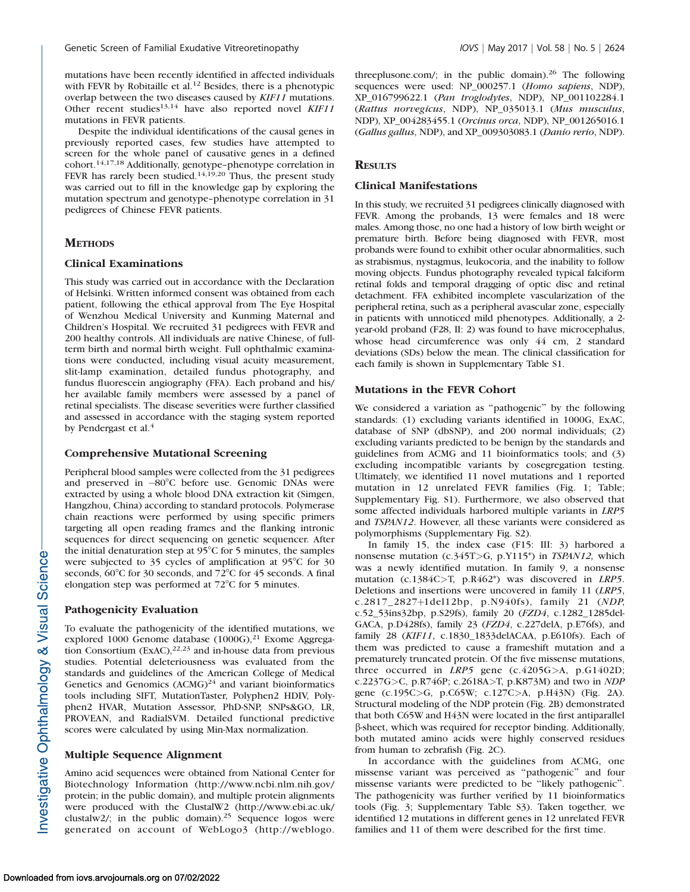mutations have been recently identified in affected individuals with FEVR by Robitaille et al.<sup>12</sup> Besides, there is a phenotypic overlap between the two diseases caused by KIF11 mutations. Other recent studies<sup>13,14</sup> have also reported novel KIF11 mutations in FEVR patients.

Despite the individual identifications of the causal genes in previously reported cases, few studies have attempted to screen for the whole panel of causative genes in a defined cohort.14,17,18 Additionally, genotype–phenotype correlation in FEVR has rarely been studied.<sup>14,19,20</sup> Thus, the present study was carried out to fill in the knowledge gap by exploring the mutation spectrum and genotype–phenotype correlation in 31 pedigrees of Chinese FEVR patients.

# **METHODS**

## Clinical Examinations

This study was carried out in accordance with the Declaration of Helsinki. Written informed consent was obtained from each patient, following the ethical approval from The Eye Hospital of Wenzhou Medical University and Kunming Maternal and Children's Hospital. We recruited 31 pedigrees with FEVR and 200 healthy controls. All individuals are native Chinese, of fullterm birth and normal birth weight. Full ophthalmic examinations were conducted, including visual acuity measurement, slit-lamp examination, detailed fundus photography, and fundus fluorescein angiography (FFA). Each proband and his/ her available family members were assessed by a panel of retinal specialists. The disease severities were further classified and assessed in accordance with the staging system reported by Pendergast et al.<sup>4</sup>

#### Comprehensive Mutational Screening

Peripheral blood samples were collected from the 31 pedigrees and preserved in -80°C before use. Genomic DNAs were extracted by using a whole blood DNA extraction kit (Simgen, Hangzhou, China) according to standard protocols. Polymerase chain reactions were performed by using specific primers targeting all open reading frames and the flanking intronic sequences for direct sequencing on genetic sequencer. After the initial denaturation step at 95°C for 5 minutes, the samples were subjected to 35 cycles of amplification at  $95^{\circ}$ C for 30 seconds,  $60^{\circ}$ C for 30 seconds, and  $72^{\circ}$ C for 45 seconds. A final elongation step was performed at  $72^{\circ}$ C for 5 minutes.

#### Pathogenicity Evaluation

To evaluate the pathogenicity of the identified mutations, we explored 1000 Genome database  $(1000G)$ ,<sup>21</sup> Exome Aggregation Consortium  $(ExAC)$ ,  $2^{2,23}$  and in-house data from previous studies. Potential deleteriousness was evaluated from the standards and guidelines of the American College of Medical Genetics and Genomics  $(ACMG)^{24}$  and variant bioinformatics tools including SIFT, MutationTaster, Polyphen2 HDIV, Polyphen2 HVAR, Mutation Assessor, PhD-SNP, SNPs&GO, LR, PROVEAN, and RadialSVM. Detailed functional predictive scores were calculated by using Min-Max normalization.

# Multiple Sequence Alignment

Amino acid sequences were obtained from National Center for Biotechnology Information (http://www.ncbi.nlm.nih.gov/ protein; in the public domain), and multiple protein alignments were produced with the ClustalW2 (http://www.ebi.ac.uk/ clustalw2/; in the public domain).<sup>25</sup> Sequence logos were generated on account of WebLogo3 (http://weblogo.

threeplusone.com/; in the public domain). $26$  The following sequences were used: NP\_000257.1 (Homo sapiens, NDP), XP\_016799622.1 (Pan troglodytes, NDP), NP\_001102284.1 (Rattus norvegicus, NDP), NP\_035013.1 (Mus musculus, NDP), XP\_004283455.1 (Orcinus orca, NDP), NP\_001265016.1 (Gallus gallus, NDP), and XP\_009303083.1 (Danio rerio, NDP).

## **RESULTS**

## Clinical Manifestations

In this study, we recruited 31 pedigrees clinically diagnosed with FEVR. Among the probands, 13 were females and 18 were males. Among those, no one had a history of low birth weight or premature birth. Before being diagnosed with FEVR, most probands were found to exhibit other ocular abnormalities, such as strabismus, nystagmus, leukocoria, and the inability to follow moving objects. Fundus photography revealed typical falciform retinal folds and temporal dragging of optic disc and retinal detachment. FFA exhibited incomplete vascularization of the peripheral retina, such as a peripheral avascular zone, especially in patients with unnoticed mild phenotypes. Additionally, a 2 year-old proband (F28, II: 2) was found to have microcephalus, whose head circumference was only 44 cm, 2 standard deviations (SDs) below the mean. The clinical classification for each family is shown in Supplementary Table S1.

## Mutations in the FEVR Cohort

We considered a variation as ''pathogenic'' by the following standards: (1) excluding variants identified in 1000G, ExAC, database of SNP (dbSNP), and 200 normal individuals; (2) excluding variants predicted to be benign by the standards and guidelines from ACMG and 11 bioinformatics tools; and (3) excluding incompatible variants by cosegregation testing. Ultimately, we identified 11 novel mutations and 1 reported mutation in 12 unrelated FEVR families (Fig. 1; Table; Supplementary Fig. S1). Furthermore, we also observed that some affected individuals harbored multiple variants in LRP5 and TSPAN12. However, all these variants were considered as polymorphisms (Supplementary Fig. S2).

In family 15, the index case (F15: III: 3) harbored a nonsense mutation (c.345T>G, p.Y115\*) in TSPAN12, which was a newly identified mutation. In family 9, a nonsense mutation (c.1384C>T, p.R462\*) was discovered in *LRP5*. Deletions and insertions were uncovered in family 11 (LRP5, c.2817\_2827+1del12bp, p.N940fs), family 21 (NDP, c.52\_53ins32bp, p.S29fs), family 20 (FZD4, c.1282\_1285del-GACA, p.D428fs), family 23 (FZD4, c.227delA, p.E76fs), and family 28 (KIF11, c.1830\_1833delACAA, p.E610fs). Each of them was predicted to cause a frameshift mutation and a prematurely truncated protein. Of the five missense mutations, three occurred in LRP5 gene (c.4205G>A, p.G1402D; c.2237G>C, p.R746P; c.2618A>T, p.K873M) and two in NDP gene (c.195C>G, p.C65W; c.127C>A, p.H43N) (Fig. 2A). Structural modeling of the NDP protein (Fig. 2B) demonstrated that both C65W and H43N were located in the first antiparallel b-sheet, which was required for receptor binding. Additionally, both mutated amino acids were highly conserved residues from human to zebrafish (Fig. 2C).

In accordance with the guidelines from ACMG, one missense variant was perceived as ''pathogenic'' and four missense variants were predicted to be ''likely pathogenic''. The pathogenicity was further verified by 11 bioinformatics tools (Fig. 3; Supplementary Table S3). Taken together, we identified 12 mutations in different genes in 12 unrelated FEVR families and 11 of them were described for the first time.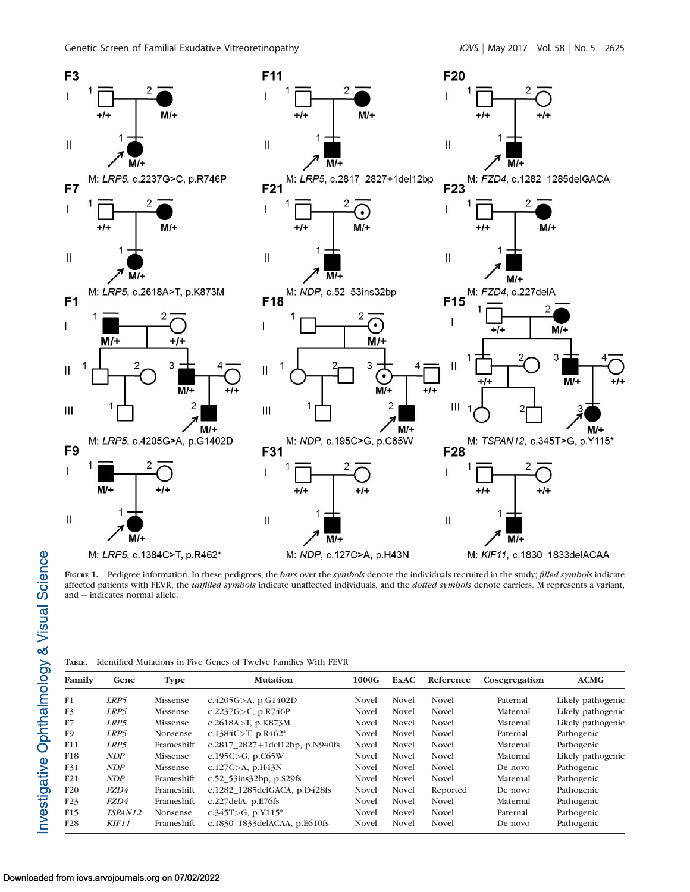

FIGURE 1. Pedigree information. In these pedigrees, the bars over the symbols denote the individuals recruited in the study; filled symbols indicate affected patients with FEVR, the *unfilled symbols* indicate unaffected individuals, and the *dotted symbols* denote carriers. M represents a variant, and  $+$  indicates normal allele.

|  | <b>TABLE.</b> Identified Mutations in Five Genes of Twelve Families With FEVR |  |  |  |  |  |  |  |  |  |  |
|--|-------------------------------------------------------------------------------|--|--|--|--|--|--|--|--|--|--|
|--|-------------------------------------------------------------------------------|--|--|--|--|--|--|--|--|--|--|

| Family          | Gene       | <b>Type</b>     | <b>Mutation</b>                   | 1000G        | <b>ExAC</b>  | Reference    | Cosegregation | ACMG              |
|-----------------|------------|-----------------|-----------------------------------|--------------|--------------|--------------|---------------|-------------------|
| F1              | LRP5       | Missense        | c.4205G $>$ A, p.G1402D           | Novel        | <b>Novel</b> | <b>Novel</b> | Paternal      | Likely pathogenic |
| F3              | LRP5       | Missense        | c.2237G $>$ C, p.R746P            | <b>Novel</b> | <b>Novel</b> | <b>Novel</b> | Maternal      | Likely pathogenic |
| F7              | LRP5       | Missense        | c.2618A>T, p.K873M                | Novel        | <b>Novel</b> | <b>Novel</b> | Maternal      | Likely pathogenic |
| F <sub>9</sub>  | LRP5       | <b>Nonsense</b> | c.1384C>T, p.R462*                | <b>Novel</b> | <b>Novel</b> | Novel        | Paternal      | Pathogenic        |
| F11             | LRP5       | Frameshift      | c.2817_2827+1del12bp, p.N940fs    | Novel        | <b>Novel</b> | <b>Novel</b> | Maternal      | Pathogenic        |
| F18             | <b>NDP</b> | Missense        | c.195C $>$ G, p.C65W              | <b>Novel</b> | <b>Novel</b> | <b>Novel</b> | Maternal      | Likely pathogenic |
| F31             | NDP        | Missense        | c.127C>A, $p.H43N$                | <b>Novel</b> | <b>Novel</b> | <b>Novel</b> | De novo       | Pathogenic        |
| F21             | NDP        | Frameshift      | c.52 $53$ ins $32bp$ , p. $529fs$ | <b>Novel</b> | <b>Novel</b> | Novel        | Maternal      | Pathogenic        |
| F20             | FZD4       | Frameshift      | c.1282 1285delGACA, p.D428fs      | <b>Novel</b> | <b>Novel</b> | Reported     | De novo       | Pathogenic        |
| F23             | FZD4       | Frameshift      | c.227delA, $p.E76fs$              | <b>Novel</b> | <b>Novel</b> | <b>Novel</b> | Maternal      | Pathogenic        |
| F15             | TSPAN12    | Nonsense        | c.345T>G, p.Y115*                 | <b>Novel</b> | <b>Novel</b> | Novel        | Paternal      | Pathogenic        |
| F <sub>28</sub> | KIF11      | Frameshift      | c.1830 1833delACAA, p.E610fs      | Novel        | <b>Novel</b> | <b>Novel</b> | De novo       | Pathogenic        |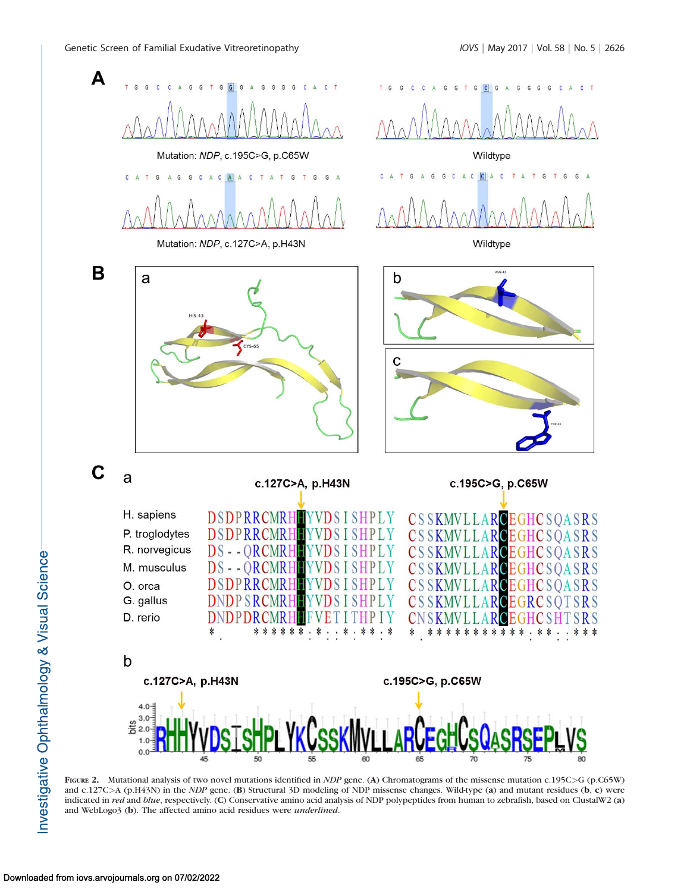

FIGURE 2. Mutational analysis of two novel mutations identified in *NDP* gene. (A) Chromatograms of the missense mutation c.195C>G (p.C65W) and c.127C>A (p.H43N) in the *NDP* gene. (B) Structural 3D modeling of NDP missense changes. Wild-type (a) and mutant residues (b, c) were indicated in red and blue, respectively. (C) Conservative amino acid analysis of NDP polypeptides from human to zebrafish, based on ClustalW2 (a) and WebLogo3 (b). The affected amino acid residues were underlined.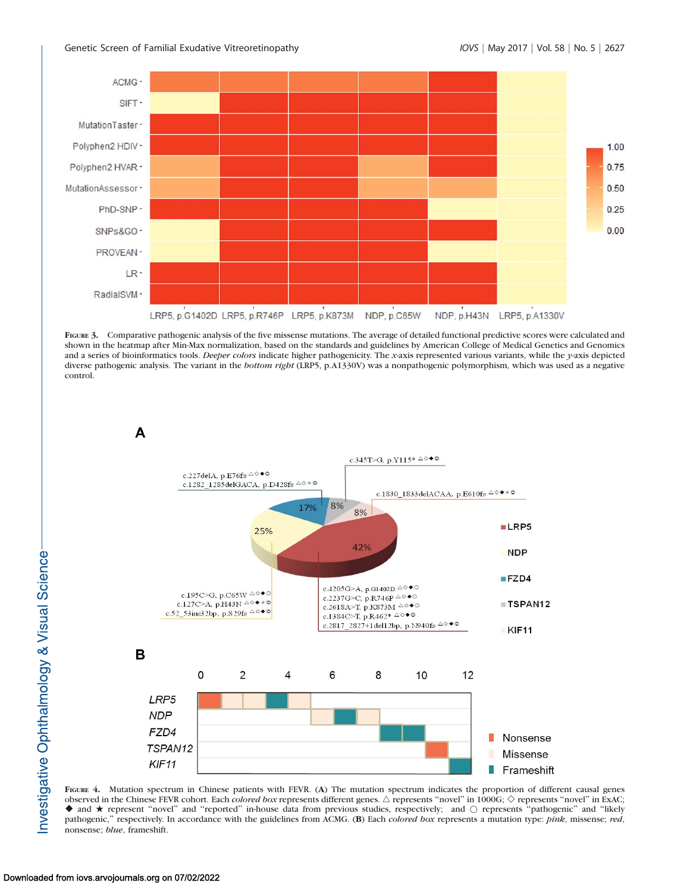

FIGURE 3. Comparative pathogenic analysis of the five missense mutations. The average of detailed functional predictive scores were calculated and shown in the heatmap after Min-Max normalization, based on the standards and guidelines by American College of Medical Genetics and Genomics and a series of bioinformatics tools. Deeper colors indicate higher pathogenicity. The x-axis represented various variants, while the y-axis depicted diverse pathogenic analysis. The variant in the bottom right (LRP5, p.A1330V) was a nonpathogenic polymorphism, which was used as a negative control.



FIGURE 4. Mutation spectrum in Chinese patients with FEVR. (A) The mutation spectrum indicates the proportion of different causal genes observed in the Chinese FEVR cohort. Each *colored box* represents different genes.  $\triangle$  represents "novel" in 1000G;  $\diamond$  represents "novel" in ExAC; ◆ and ★ represent "novel" and "reported" in-house data from previous studies, respectively; and ○ represents "pathogenic" and "likely pathogenic," respectively. In accordance with the guidelines from ACMG. (B) Each colored box represents a mutation type: pink, missense; red, nonsense; blue, frameshift.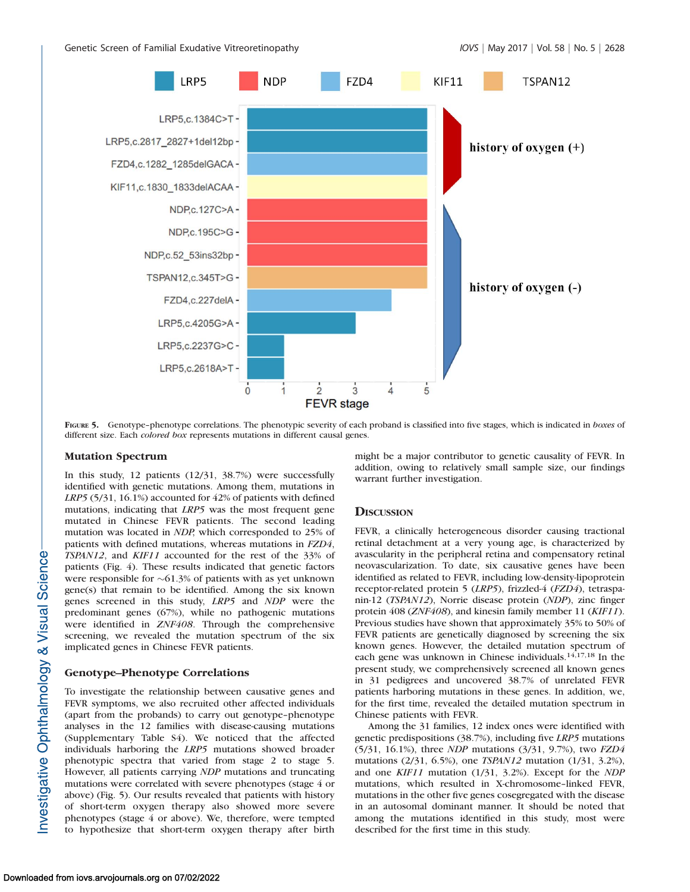

FIGURE 5. Genotype-phenotype correlations. The phenotypic severity of each proband is classified into five stages, which is indicated in boxes of different size. Each colored box represents mutations in different causal genes.

#### Mutation Spectrum

In this study, 12 patients (12/31, 38.7%) were successfully identified with genetic mutations. Among them, mutations in LRP5 (5/31, 16.1%) accounted for 42% of patients with defined mutations, indicating that LRP5 was the most frequent gene mutated in Chinese FEVR patients. The second leading mutation was located in NDP, which corresponded to 25% of patients with defined mutations, whereas mutations in FZD4, TSPAN12, and KIF11 accounted for the rest of the 33% of patients (Fig. 4). These results indicated that genetic factors were responsible for  $\sim 61.3\%$  of patients with as yet unknown gene(s) that remain to be identified. Among the six known genes screened in this study, LRP5 and NDP were the predominant genes (67%), while no pathogenic mutations were identified in ZNF408. Through the comprehensive screening, we revealed the mutation spectrum of the six implicated genes in Chinese FEVR patients.

# Genotype–Phenotype Correlations

To investigate the relationship between causative genes and FEVR symptoms, we also recruited other affected individuals (apart from the probands) to carry out genotype–phenotype analyses in the 12 families with disease-causing mutations (Supplementary Table S4). We noticed that the affected individuals harboring the LRP5 mutations showed broader phenotypic spectra that varied from stage 2 to stage 5. However, all patients carrying NDP mutations and truncating mutations were correlated with severe phenotypes (stage 4 or above) (Fig. 5). Our results revealed that patients with history of short-term oxygen therapy also showed more severe phenotypes (stage 4 or above). We, therefore, were tempted to hypothesize that short-term oxygen therapy after birth

might be a major contributor to genetic causality of FEVR. In addition, owing to relatively small sample size, our findings warrant further investigation.

#### **DISCUSSION**

FEVR, a clinically heterogeneous disorder causing tractional retinal detachment at a very young age, is characterized by avascularity in the peripheral retina and compensatory retinal neovascularization. To date, six causative genes have been identified as related to FEVR, including low-density-lipoprotein receptor-related protein 5 (LRP5), frizzled-4 (FZD4), tetraspanin-12 (TSPAN12), Norrie disease protein (NDP), zinc finger protein 408 (ZNF408), and kinesin family member 11 (KIF11). Previous studies have shown that approximately 35% to 50% of FEVR patients are genetically diagnosed by screening the six known genes. However, the detailed mutation spectrum of each gene was unknown in Chinese individuals.<sup>14,17,18</sup> In the present study, we comprehensively screened all known genes in 31 pedigrees and uncovered 38.7% of unrelated FEVR patients harboring mutations in these genes. In addition, we, for the first time, revealed the detailed mutation spectrum in Chinese patients with FEVR.

Among the 31 families, 12 index ones were identified with genetic predispositions (38.7%), including five LRP5 mutations (5/31, 16.1%), three NDP mutations (3/31, 9.7%), two FZD4 mutations (2/31, 6.5%), one TSPAN12 mutation (1/31, 3.2%), and one KIF11 mutation (1/31, 3.2%). Except for the NDP mutations, which resulted in X-chromosome–linked FEVR, mutations in the other five genes cosegregated with the disease in an autosomal dominant manner. It should be noted that among the mutations identified in this study, most were described for the first time in this study.